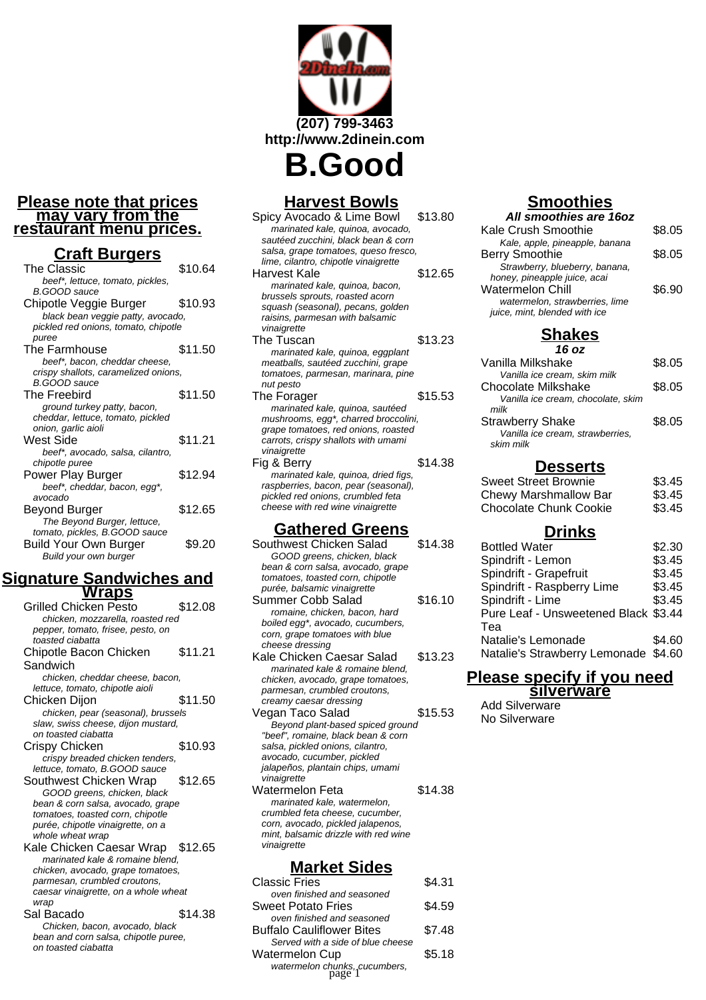### **Please note that prices may vary from the restaurant menu prices.**

## **Craft Burgers**

| The Classic                          | \$10.64 |
|--------------------------------------|---------|
| beef*, lettuce, tomato, pickles,     |         |
| B.GOOD sauce                         |         |
| Chipotle Veggie Burger               | \$10.93 |
| black bean veggie patty, avocado,    |         |
| pickled red onions, tomato, chipotle |         |
| puree                                |         |
| The Farmhouse                        | \$11.50 |
| beef*, bacon, cheddar cheese,        |         |
| crispy shallots, caramelized onions, |         |
| B.GOOD sauce                         |         |
| The Freebird                         | \$11.50 |
| ground turkey patty, bacon,          |         |
| cheddar, lettuce, tomato, pickled    |         |
| onion, garlic aioli                  |         |
| West Side                            | \$11.21 |
| beef*, avocado, salsa, cilantro,     |         |
| chipotle puree                       |         |
| Power Play Burger                    | \$12.94 |
| beef*, cheddar, bacon, egg*,         |         |
| avocado                              |         |
| Beyond Burger                        | \$12.65 |
| The Beyond Burger, lettuce,          |         |
| tomato, pickles, B.GOOD sauce        |         |
| Build Your Own Burger                | \$9.20  |
| Build your own burger                |         |

## **Signature Sandwiches and Wraps**

| $\sim$                               |         |
|--------------------------------------|---------|
| Grilled Chicken Pesto                | \$12.08 |
| chicken, mozzarella, roasted red     |         |
| pepper, tomato, frisee, pesto, on    |         |
| toasted ciabatta                     |         |
| Chipotle Bacon Chicken               | \$11.21 |
| Sandwich                             |         |
| chicken, cheddar cheese, bacon,      |         |
| lettuce, tomato, chipotle aioli      |         |
| Chicken Dijon                        | \$11.50 |
| chicken, pear (seasonal), brussels   |         |
| slaw, swiss cheese, dijon mustard,   |         |
| on toasted ciabatta                  |         |
| Crispy Chicken                       | \$10.93 |
| crispy breaded chicken tenders,      |         |
| lettuce, tomato, B.GOOD sauce        |         |
| Southwest Chicken Wrap               | \$12.65 |
| GOOD greens, chicken, black          |         |
| bean & corn salsa, avocado, grape    |         |
| tomatoes, toasted corn, chipotle     |         |
| purée, chipotle vinaigrette, on a    |         |
| whole wheat wrap                     |         |
| Kale Chicken Caesar Wrap \$12.65     |         |
| marinated kale & romaine blend.      |         |
| chicken, avocado, grape tomatoes,    |         |
| parmesan, crumbled croutons,         |         |
| caesar vinaigrette, on a whole wheat |         |
| wrap                                 |         |
| Sal Bacado                           | \$14.38 |
| Chicken, bacon, avocado, black       |         |
| bean and corn salsa, chipotle puree, |         |
| on toasted ciabatta                  |         |

# **(207) 799-3463 http://www.2dinein.com B.Good**

# **Harvest Bowls**

| \$13.80                              |
|--------------------------------------|
|                                      |
|                                      |
| salsa, grape tomatoes, queso fresco, |
|                                      |
| \$12.65                              |
|                                      |
|                                      |
|                                      |
|                                      |
|                                      |
| \$13.23                              |
|                                      |
|                                      |
|                                      |
|                                      |
| \$15.53                              |
|                                      |
| mushrooms, egg*, charred broccolini, |
|                                      |
|                                      |
|                                      |
| \$14.38                              |
|                                      |
|                                      |
|                                      |
|                                      |
| grape tomatoes, red onions, roasted  |

# **Gathered Greens**

| Southwest Chicken Salad              | \$14.38 |
|--------------------------------------|---------|
| GOOD greens, chicken, black          |         |
| bean & corn salsa, avocado, grape    |         |
| tomatoes, toasted corn, chipotle     |         |
| purée, balsamic vinaigrette          |         |
| Summer Cobb Salad                    | \$16.10 |
| romaine, chicken, bacon, hard        |         |
| boiled egg*, avocado, cucumbers,     |         |
| corn, grape tomatoes with blue       |         |
| cheese dressing                      |         |
| Kale Chicken Caesar Salad            | \$13.23 |
| marinated kale & romaine blend,      |         |
| chicken, avocado, grape tomatoes,    |         |
| parmesan, crumbled croutons,         |         |
| creamy caesar dressing               |         |
| Vegan Taco Salad                     | \$15.53 |
| Beyond plant-based spiced ground     |         |
| "beef", romaine, black bean & corn   |         |
| salsa, pickled onions, cilantro,     |         |
| avocado, cucumber, pickled           |         |
| jalapeños, plantain chips, umami     |         |
| vinaigrette                          |         |
| Watermelon Feta                      | \$14.38 |
| marinated kale, watermelon,          |         |
| crumbled feta cheese, cucumber,      |         |
| corn, avocado, pickled jalapenos,    |         |
| mint, balsamic drizzle with red wine |         |
| vinaigrette                          |         |
| <u> Market Sides</u>                 |         |

#### Classic Fries \$4.31 oven finished and seasoned Sweet Potato Fries \$4.59 oven finished and seasoned Buffalo Cauliflower Bites \$7.48 Served with a side of blue cheese Watermelon Cup \$5.18 watermelon chunks, cucumbers, page 1

# **Smoothies**

| All smoothies are 16oz         |        |
|--------------------------------|--------|
| Kale Crush Smoothie            | \$8.05 |
| Kale, apple, pineapple, banana |        |
| <b>Berry Smoothie</b>          | \$8.05 |
| Strawberry, blueberry, banana, |        |
| honey, pineapple juice, acai   |        |
| <b>Watermelon Chill</b>        | \$6.90 |
| watermelon, strawberries, lime |        |
| juice, mint, blended with ice  |        |

# **Shakes**

| 16 oz                              |        |
|------------------------------------|--------|
| Vanilla Milkshake                  | \$8.05 |
| Vanilla ice cream, skim milk       |        |
| Chocolate Milkshake                | \$8.05 |
| Vanilla ice cream, chocolate, skim |        |
| milk                               |        |
| <b>Strawberry Shake</b>            | \$8.05 |
| Vanilla ice cream, strawberries.   |        |
| skim milk                          |        |
|                                    |        |

## **Desserts**

| \$3.45 |
|--------|
| \$3.45 |
| \$3.45 |
|        |

# **Drinks**

| <b>Bottled Water</b>                 | \$2.30 |
|--------------------------------------|--------|
| Spindrift - Lemon                    | \$3.45 |
| Spindrift - Grapefruit               | \$3.45 |
| Spindrift - Raspberry Lime           | \$3.45 |
| Spindrift - Lime                     | \$3.45 |
| Pure Leaf - Unsweetened Black \$3.44 |        |
| Tea                                  |        |
| Natalie's Lemonade                   | \$4.60 |
| Natalie's Strawberry Lemonade \$4.60 |        |
|                                      |        |

## **Please specify if you need silverware**

Add Silverware No Silverware